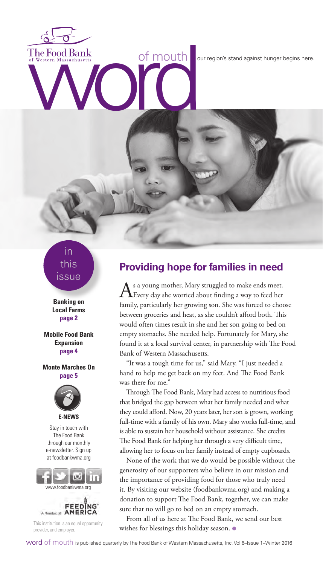The Food Bank<br>of Western Massachusetts<br>
With the Condition of Mouth<br>
The Food Bank<br>
Condition of Mouth<br>
The Condition of Mouth<br>
Condition of Mouth<br>
Conditions stand against hunger begins here.

# in this issue

**Banking on Local Farms page 2**

**Mobile Food Bank Expansion page 4**

**Monte Marches On page 5**



Stay in touch with The Food Bank through our monthly e-newsletter. Sign up at foodbankwma.org



provider, and employer.

# **Providing hope for families in need**

As a young mother, Mary struggled to make ends meet.<br>Every day she worried about finding a way to feed her family, particularly her growing son. She was forced to choose between groceries and heat, as she couldn't afford both. This would often times result in she and her son going to bed on empty stomachs. She needed help. Fortunately for Mary, she found it at a local survival center, in partnership with The Food Bank of Western Massachusetts.

"It was a tough time for us," said Mary. "I just needed a hand to help me get back on my feet. And The Food Bank was there for me."

Through The Food Bank, Mary had access to nutritious food that bridged the gap between what her family needed and what they could afford. Now, 20 years later, her son is grown, working full-time with a family of his own. Mary also works full-time, and is able to sustain her household without assistance. She credits The Food Bank for helping her through a very difficult time, allowing her to focus on her family instead of empty cupboards.

None of the work that we do would be possible without the generosity of our supporters who believe in our mission and the importance of providing food for those who truly need it. By visiting our website (foodbankwma.org) and making a donation to support The Food Bank, together, we can make sure that no will go to bed on an empty stomach.

From all of us here at The Food Bank, we send our best wishes for blessings this holiday season. ●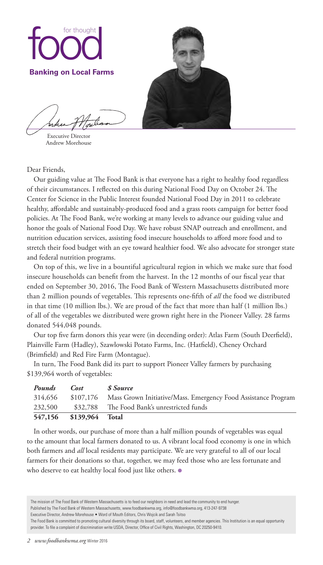

Executive Director Andrew Morehouse

Dear Friends,

Our guiding value at The Food Bank is that everyone has a right to healthy food regardless of their circumstances. I reflected on this during National Food Day on October 24. The Center for Science in the Public Interest founded National Food Day in 2011 to celebrate healthy, affordable and sustainably-produced food and a grass roots campaign for better food policies. At The Food Bank, we're working at many levels to advance our guiding value and honor the goals of National Food Day. We have robust SNAP outreach and enrollment, and nutrition education services, assisting food insecure households to afford more food and to stretch their food budget with an eye toward healthier food. We also advocate for stronger state and federal nutrition programs.

On top of this, we live in a bountiful agricultural region in which we make sure that food insecure households can benefit from the harvest. In the 12 months of our fiscal year that ended on September 30, 2016, The Food Bank of Western Massachusetts distributed more than 2 million pounds of vegetables. This represents one-fifth of *all* the food we distributed in that time (10 million lbs.). We are proud of the fact that more than half (1 million lbs.) of all of the vegetables we distributed were grown right here in the Pioneer Valley. 28 farms donated 544,048 pounds.

Our top five farm donors this year were (in decending order): Atlas Farm (South Deerfield), Plainville Farm (Hadley), Szawlowski Potato Farms, Inc. (Hatfield), Cheney Orchard (Brimfield) and Red Fire Farm (Montague).

In turn, The Food Bank did its part to support Pioneer Valley farmers by purchasing \$139,964 worth of vegetables:

| Pounds  | Cost                    | <i><b>\$ Source</b></i>                                                 |
|---------|-------------------------|-------------------------------------------------------------------------|
| 314,656 |                         | \$107,176 Mass Grown Initiative/Mass. Emergency Food Assistance Program |
| 232,500 |                         | \$32,788 The Food Bank's unrestricted funds                             |
|         | 547,156 \$139,964 Total |                                                                         |

In other words, our purchase of more than a half million pounds of vegetables was equal to the amount that local farmers donated to us. A vibrant local food economy is one in which both farmers and *all* local residents may participate. We are very grateful to all of our local farmers for their donations so that, together, we may feed those who are less fortunate and who deserve to eat healthy local food just like others.  $\bullet$ 

The mission of The Food Bank of Western Massachusetts is to feed our neighbors in need and lead the community to end hunger. Published by The Food Bank of Western Massachusetts, www.foodbankwma.org, info@foodbankwma.org, 413-247-9738

Executive Director, Andrew Morehouse • Word of Mouth Editors, Chris Wojcik and Sarah Tsitso

The Food Bank is committed to promoting cultural diversity through its board, staff, volunteers, and member agencies. This Institution is an equal opportunity provider. To file a complaint of discrimination write USDA, Director, Office of Civil Rights, Washington, DC 20250-9410.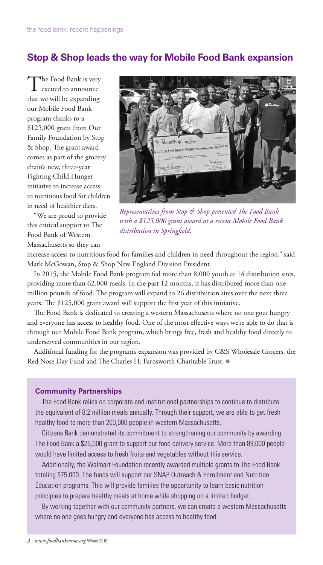# **Stop & Shop leads the way for Mobile Food Bank expansion**

The Food Bank is very excited to announce that we will be expanding our Mobile Food Bank program thanks to a \$125,000 grant from Our Family Foundation by Stop & Shop. The grant award comes as part of the grocery chain's new, three-year Fighting Child Hunger initiative to increase access to nutritious food for children in need of healthier diets.

"We are proud to provide this critical support to The Food Bank of Western Massachusetts so they can



*Representatives from Stop & Shop presented The Food Bank with a \$125,000 grant award at a recent Mobile Food Bank distribution in Springfield.* 

increase access to nutritious food for families and children in need throughout the region," said Mark McGowan, Stop & Shop New England Division President.

In 2015, the Mobile Food Bank program fed more than 8,000 youth at 14 distribution sites, providing more than 62,000 meals. In the past 12 months, it has distributed more than one million pounds of food. The program will expand to 26 distribution sites over the next three years. The \$125,000 grant award will support the first year of this initiative.

The Food Bank is dedicated to creating a western Massachusetts where no one goes hungry and everyone has access to healthy food. One of the most effective ways we're able to do that is through our Mobile Food Bank program, which brings free, fresh and healthy food directly to underserved communities in our region.

Additional funding for the program's expansion was provided by C&S Wholesale Grocers, the Red Nose Day Fund and The Charles H. Farnsworth Charitable Trust. .

### **Community Partnerships**

The Food Bank relies on corporate and institutional partnerships to continue to distribute the equivalent of 8.2 million meals annually. Through their support, we are able to get fresh healthy food to more than 200,000 people in western Massachusetts.

Citizens Bank demonstrated its commitment to strengthening our community by awarding The Food Bank a \$25,000 grant to support our food delivery service. More than 89,000 people would have limited access to fresh fruits and vegetables without this service.

Additionally, the Walmart Foundation recently awarded multiple grants to The Food Bank totaling \$75,000. The funds will support our SNAP Outreach & Enrollment and Nutrition Education programs. This will provide families the opportunity to learn basic nutrition principles to prepare healthy meals at home while shopping on a limited budget.

By working together with our community partners, we can create a western Massachusetts where no one goes hungry and everyone has access to healthy food.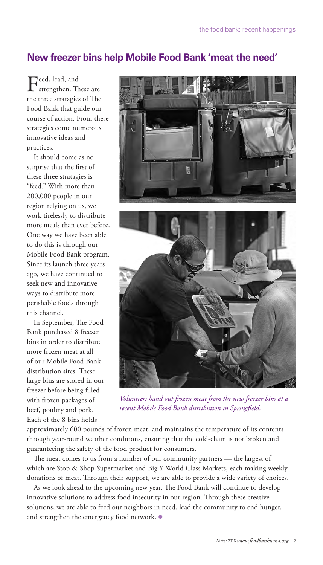# **New freezer bins help Mobile Food Bank 'meat the need'**

Feed, lead, and strengthen. These are the three stratagies of The Food Bank that guide our course of action. From these strategies come numerous innovative ideas and practices.

It should come as no surprise that the first of these three stratagies is "feed." With more than 200,000 people in our region relying on us, we work tirelessly to distribute more meals than ever before. One way we have been able to do this is through our Mobile Food Bank program. Since its launch three years ago, we have continued to seek new and innovative ways to distribute more perishable foods through this channel.

In September, The Food Bank purchased 8 freezer bins in order to distribute more frozen meat at all of our Mobile Food Bank distribution sites. These large bins are stored in our freezer before being filled with frozen packages of beef, poultry and pork. Each of the 8 bins holds





*Volunteers hand out frozen meat from the new freezer bins at a recent Mobile Food Bank distribution in Springfield.* 

approximately 600 pounds of frozen meat, and maintains the temperature of its contents through year-round weather conditions, ensuring that the cold-chain is not broken and guaranteeing the safety of the food product for consumers.

The meat comes to us from a number of our community partners — the largest of which are Stop & Shop Supermarket and Big Y World Class Markets, each making weekly donations of meat. Through their support, we are able to provide a wide variety of choices.

As we look ahead to the upcoming new year, The Food Bank will continue to develop innovative solutions to address food insecurity in our region. Through these creative solutions, we are able to feed our neighbors in need, lead the community to end hunger, and strengthen the emergency food network. ●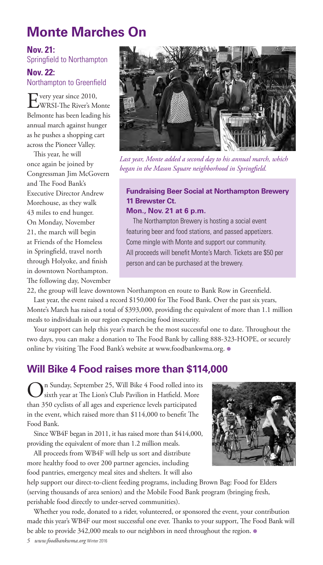# **Monte Marches On**

**Nov. 21:**  Springfield to Northampton

**Nov. 22:**  Northampton to Greenfield

**P** very year since 2010, WRSI-The River's Monte Belmonte has been leading his annual march against hunger as he pushes a shopping cart across the Pioneer Valley.

This year, he will once again be joined by Congressman Jim McGovern and The Food Bank's Executive Director Andrew Morehouse, as they walk 43 miles to end hunger. On Monday, November 21, the march will begin at Friends of the Homeless in Springfield, travel north through Holyoke, and finish in downtown Northampton. The following day, November



*Last year, Monte added a second day to his annual march, which began in the Mason Square neighborhood in Springfield.*

# **Fundraising Beer Social at Northampton Brewery 11 Brewster Ct.**

**Mon., Nov. 21 at 6 p.m.**

The Northampton Brewery is hosting a social event featuring beer and food stations, and passed appetizers. Come mingle with Monte and support our community. All proceeds will benefit Monte's March. Tickets are \$50 per person and can be purchased at the brewery.

22, the group will leave downtown Northampton en route to Bank Row in Greenfield.

Last year, the event raised a record \$150,000 for The Food Bank. Over the past six years, Monte's March has raised a total of \$393,000, providing the equivalent of more than 1.1 million meals to individuals in our region experiencing food insecurity.

Your support can help this year's march be the most successful one to date. Throughout the two days, you can make a donation to The Food Bank by calling 888-323-HOPE, or securely online by visiting The Food Bank's website at www.foodbankwma.org. ●

# **Will Bike 4 Food raises more than \$114,000**

On Sunday, September 25, Will Bike 4 Food rolled into its sixth year at The Lion's Club Pavilion in Hatfield. More than 350 cyclists of all ages and experience levels participated in the event, which raised more than \$114,000 to benefit The Food Bank.

Since WB4F began in 2011, it has raised more than \$414,000, providing the equivalent of more than 1.2 million meals.

All proceeds from WB4F will help us sort and distribute more healthy food to over 200 partner agencies, including food pantries, emergency meal sites and shelters. It will also

help support our direct-to-client feeding programs, including Brown Bag: Food for Elders (serving thousands of area seniors) and the Mobile Food Bank program (bringing fresh, perishable food directly to under-served communities).

Whether you rode, donated to a rider, volunteered, or sponsored the event, your contribution made this year's WB4F our most successful one ever. Thanks to your support, The Food Bank will be able to provide 342,000 meals to our neighbors in need throughout the region. ●